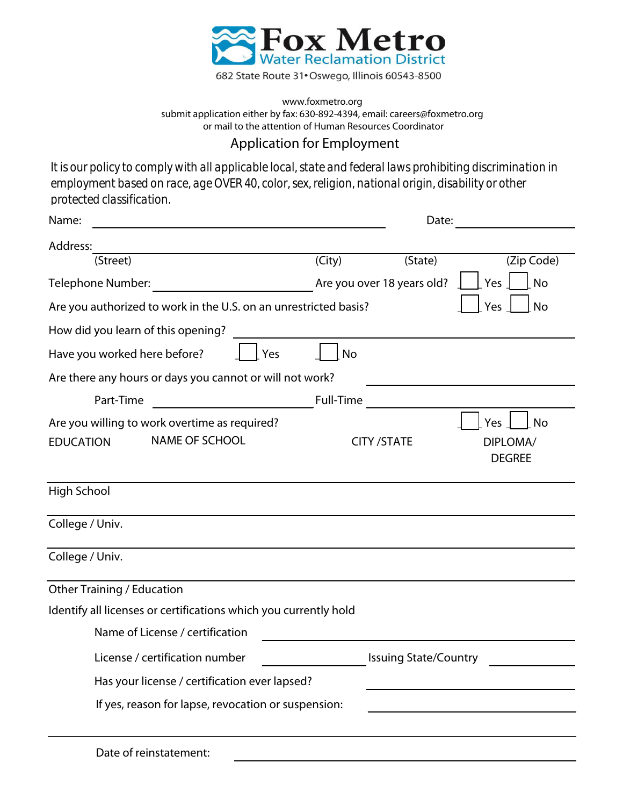

## www.foxmetro.org submit application either by fax: 630-892-4394, email: careers@foxmetro.org or mail to the attention of Human Resources Coordinator

## Application for Employment

*It is our policy to comply with all applicable local, state and federal laws prohibiting discrimination in employment based on race, age OVER 40, color, sex, religion, national origin, disability or other protected classification.*

| Name:                                                                                      |                              | Date:                      |                                        |
|--------------------------------------------------------------------------------------------|------------------------------|----------------------------|----------------------------------------|
| Address:                                                                                   |                              |                            |                                        |
| (Street)                                                                                   | $\overline{(City)}$          | (State)                    | (Zip Code)                             |
| <b>Telephone Number:</b>                                                                   |                              | Are you over 18 years old? | Yes<br>No                              |
| Are you authorized to work in the U.S. on an unrestricted basis?                           |                              |                            | Yes<br><b>No</b>                       |
| How did you learn of this opening?                                                         |                              |                            |                                        |
| Have you worked here before?<br>Yes                                                        | No                           |                            |                                        |
| Are there any hours or days you cannot or will not work?                                   |                              |                            |                                        |
| Part-Time<br><u> 1990 - Johann Barbara, martxa</u>                                         | Full-Time                    |                            |                                        |
| Are you willing to work overtime as required?<br><b>NAME OF SCHOOL</b><br><b>EDUCATION</b> |                              | <b>CITY /STATE</b>         | Yes<br>No<br>DIPLOMA/<br><b>DEGREE</b> |
| <b>High School</b>                                                                         |                              |                            |                                        |
| College / Univ.                                                                            |                              |                            |                                        |
| College / Univ.                                                                            |                              |                            |                                        |
| <b>Other Training / Education</b>                                                          |                              |                            |                                        |
| Identify all licenses or certifications which you currently hold                           |                              |                            |                                        |
| Name of License / certification                                                            |                              |                            |                                        |
| License / certification number                                                             | <b>Issuing State/Country</b> |                            |                                        |
| Has your license / certification ever lapsed?                                              |                              |                            |                                        |
| If yes, reason for lapse, revocation or suspension:                                        |                              |                            |                                        |
| Date of reinstatement:                                                                     |                              |                            |                                        |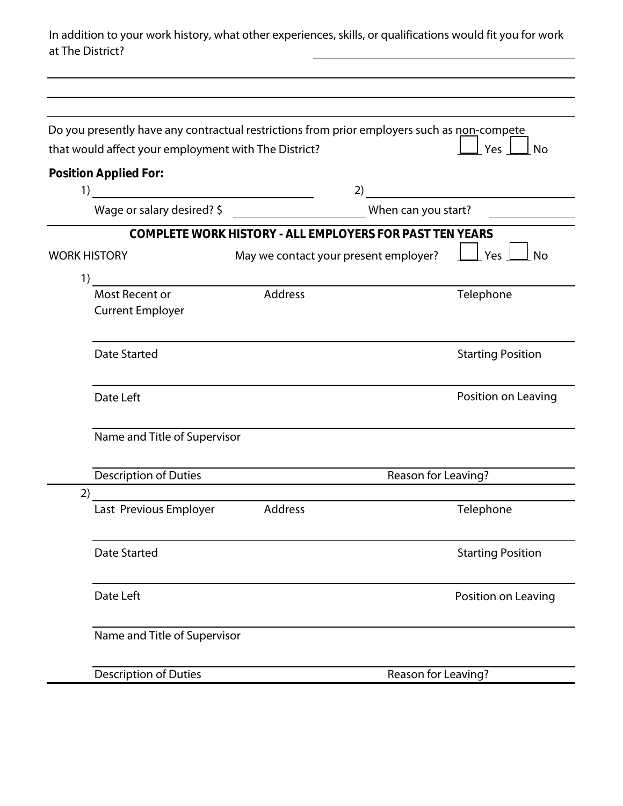In addition to your work history, what other experiences, skills, or qualifications would fit you for work at The District?

|                                                                                                                                                    |                                                      | Do you presently have any contractual restrictions from prior employers such as non-compete | Yes<br><b>No</b>         |  |  |  |
|----------------------------------------------------------------------------------------------------------------------------------------------------|------------------------------------------------------|---------------------------------------------------------------------------------------------|--------------------------|--|--|--|
|                                                                                                                                                    | that would affect your employment with The District? |                                                                                             |                          |  |  |  |
| 1)                                                                                                                                                 | Position Applied For:                                | 2)                                                                                          |                          |  |  |  |
| <u> 1980 - Jan Barbara Barbara, manazarta da kasas da kasas da kasas da kasas da kasas da kasas da kasas da kasa</u><br>Wage or salary desired? \$ |                                                      |                                                                                             | When can you start?      |  |  |  |
|                                                                                                                                                    |                                                      | COMPLETE WORK HISTORY - ALL EMPLOYERS FOR PAST TEN YEARS                                    |                          |  |  |  |
| <b>WORK HISTORY</b>                                                                                                                                |                                                      | May we contact your present employer?                                                       | Yes<br>No                |  |  |  |
| 1)                                                                                                                                                 |                                                      |                                                                                             |                          |  |  |  |
|                                                                                                                                                    | Most Recent or<br><b>Current Employer</b>            | Address                                                                                     | Telephone                |  |  |  |
|                                                                                                                                                    | <b>Date Started</b>                                  |                                                                                             | <b>Starting Position</b> |  |  |  |
|                                                                                                                                                    | Date Left                                            |                                                                                             | Position on Leaving      |  |  |  |
|                                                                                                                                                    | Name and Title of Supervisor                         |                                                                                             |                          |  |  |  |
|                                                                                                                                                    | Description of Duties                                | Reason for Leaving?                                                                         |                          |  |  |  |
| 2)                                                                                                                                                 |                                                      |                                                                                             |                          |  |  |  |
|                                                                                                                                                    | Last Previous Employer                               | Address                                                                                     | Telephone                |  |  |  |
|                                                                                                                                                    | <b>Date Started</b>                                  |                                                                                             | <b>Starting Position</b> |  |  |  |
|                                                                                                                                                    | Date Left                                            |                                                                                             | Position on Leaving      |  |  |  |
|                                                                                                                                                    | Name and Title of Supervisor                         |                                                                                             |                          |  |  |  |
|                                                                                                                                                    | <b>Description of Duties</b>                         | Reason for Leaving?                                                                         |                          |  |  |  |